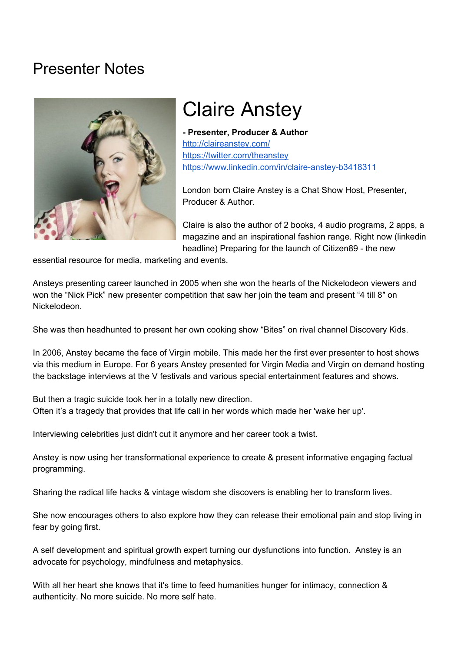## Presenter Notes



## Claire Anstey

**- Presenter, Producer & Author** <http://claireanstey.com/> <https://twitter.com/theanstey> <https://www.linkedin.com/in/claire-anstey-b3418311>

London born Claire Anstey is a Chat Show Host, Presenter, Producer & Author.

Claire is also the author of 2 books, 4 audio programs, 2 apps, a magazine and an inspirational fashion range. Right now (linkedin headline) Preparing for the launch of Citizen89 - the new

essential resource for media, marketing and events.

Ansteys presenting career launched in 2005 when she won the hearts of the Nickelodeon viewers and won the "Nick Pick" new presenter competition that saw her join the team and present "4 till 8" on Nickelodeon.

She was then headhunted to present her own cooking show "Bites" on rival channel Discovery Kids.

In 2006, Anstey became the face of Virgin mobile. This made her the first ever presenter to host shows via this medium in Europe. For 6 years Anstey presented for Virgin Media and Virgin on demand hosting the backstage interviews at the V festivals and various special entertainment features and shows.

But then a tragic suicide took her in a totally new direction. Often it's a tragedy that provides that life call in her words which made her 'wake her up'.

Interviewing celebrities just didn't cut it anymore and her career took a twist.

Anstey is now using her transformational experience to create & present informative engaging factual programming.

Sharing the radical life hacks & vintage wisdom she discovers is enabling her to transform lives.

She now encourages others to also explore how they can release their emotional pain and stop living in fear by going first.

A self development and spiritual growth expert turning our dysfunctions into function. Anstey is an advocate for psychology, mindfulness and metaphysics.

With all her heart she knows that it's time to feed humanities hunger for intimacy, connection & authenticity. No more suicide. No more self hate.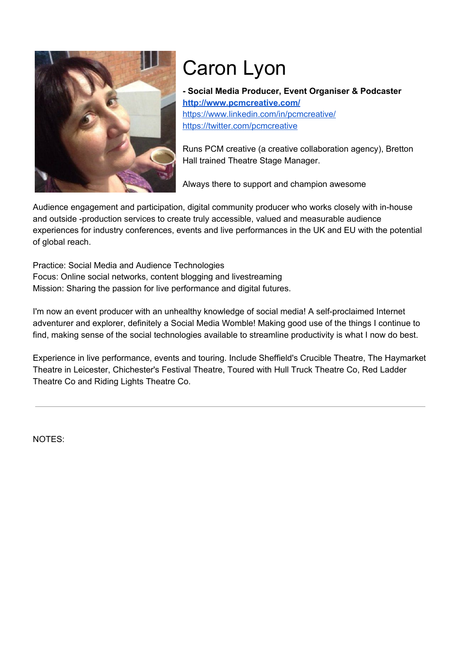

# Caron Lyon

**- Social Media Producer, Event Organiser & Podcaster <http://www.pcmcreative.com/>** <https://www.linkedin.com/in/pcmcreative/> <https://twitter.com/pcmcreative>

Runs PCM creative (a creative collaboration agency), Bretton Hall trained Theatre Stage Manager.

Always there to support and champion awesome

Audience engagement and participation, digital community producer who works closely with in-house and outside -production services to create truly accessible, valued and measurable audience experiences for industry conferences, events and live performances in the UK and EU with the potential of global reach.

Practice: Social Media and Audience Technologies Focus: Online social networks, content blogging and livestreaming Mission: Sharing the passion for live performance and digital futures.

I'm now an event producer with an unhealthy knowledge of social media! A self-proclaimed Internet adventurer and explorer, definitely a Social Media Womble! Making good use of the things I continue to find, making sense of the social technologies available to streamline productivity is what I now do best.

Experience in live performance, events and touring. Include Sheffield's Crucible Theatre, The Haymarket Theatre in Leicester, Chichester's Festival Theatre, Toured with Hull Truck Theatre Co, Red Ladder Theatre Co and Riding Lights Theatre Co.

NOTES: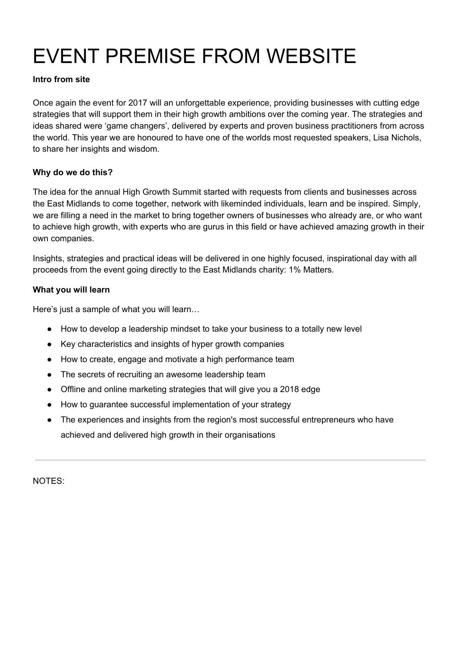# EVENT PREMISE FROM WEBSITE

#### **Intro from site**

Once again the event for 2017 will an unforgettable experience, providing businesses with cutting edge strategies that will support them in their high growth ambitions over the coming year. The strategies and ideas shared were 'game changers', delivered by experts and proven business practitioners from across the world. This year we are honoured to have one of the worlds most requested speakers, Lisa Nichols, to share her insights and wisdom.

#### **Why do we do this?**

The idea for the annual High Growth Summit started with requests from clients and businesses across the East Midlands to come together, network with likeminded individuals, learn and be inspired. Simply, we are filling a need in the market to bring together owners of businesses who already are, or who want to achieve high growth, with experts who are gurus in this field or have achieved amazing growth in their own companies.

Insights, strategies and practical ideas will be delivered in one highly focused, inspirational day with all proceeds from the event going directly to the East Midlands charity: 1% Matters.

#### **What you will learn**

Here's just a sample of what you will learn…

- How to develop a leadership mindset to take your business to a totally new level
- Key characteristics and insights of hyper growth companies
- How to create, engage and motivate a high performance team
- The secrets of recruiting an awesome leadership team
- Offline and online marketing strategies that will give you a 2018 edge
- How to guarantee successful implementation of your strategy
- The experiences and insights from the region's most successful entrepreneurs who have achieved and delivered high growth in their organisations

NOTES: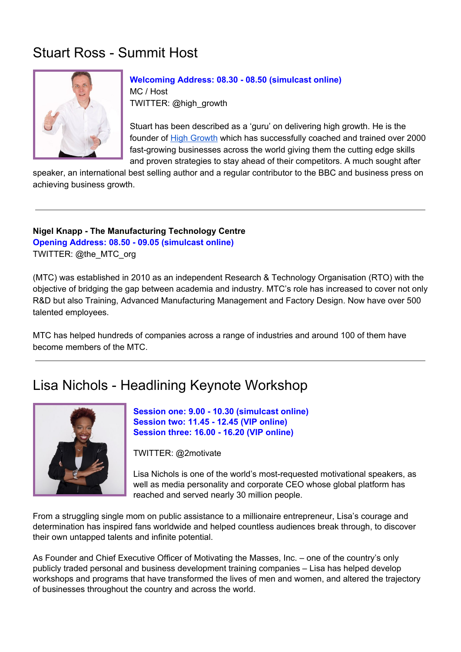## Stuart Ross - Summit Host



**Welcoming Address: 08.30 - 08.50 (simulcast online)** MC / Host TWITTER: @high\_growth

Stuart has been described as a 'guru' on delivering high growth. He is the founder of High [Growth](http://highgrowth.com/) which has successfully coached and trained over 2000 fast-growing businesses across the world giving them the cutting edge skills and proven strategies to stay ahead of their competitors. A much sought after

speaker, an international best selling author and a regular contributor to the BBC and business press on achieving business growth.

**Nigel Knapp - The Manufacturing Technology Centre Opening Address: 08.50 - 09.05 (simulcast online)** TWITTER: @the\_MTC\_org

(MTC) was established in 2010 as an independent Research & Technology Organisation (RTO) with the objective of bridging the gap between academia and industry. MTC's role has increased to cover not only R&D but also Training, Advanced Manufacturing Management and Factory Design. Now have over 500 talented employees.

MTC has helped hundreds of companies across a range of industries and around 100 of them have become members of the MTC.

## Lisa Nichols - Headlining Keynote Workshop



**Session one: 9.00 - 10.30 (simulcast online) Session two: 11.45 - 12.45 (VIP online) Session three: 16.00 - 16.20 (VIP online)**

TWITTER: @2motivate

Lisa Nichols is one of the world's most-requested motivational speakers, as well as media personality and corporate CEO whose global platform has reached and served nearly 30 million people.

From a struggling single mom on public assistance to a millionaire entrepreneur, Lisa's courage and determination has inspired fans worldwide and helped countless audiences break through, to discover their own untapped talents and infinite potential.

As Founder and Chief Executive Officer of Motivating the Masses, Inc. – one of the country's only publicly traded personal and business development training companies – Lisa has helped develop workshops and programs that have transformed the lives of men and women, and altered the trajectory of businesses throughout the country and across the world.